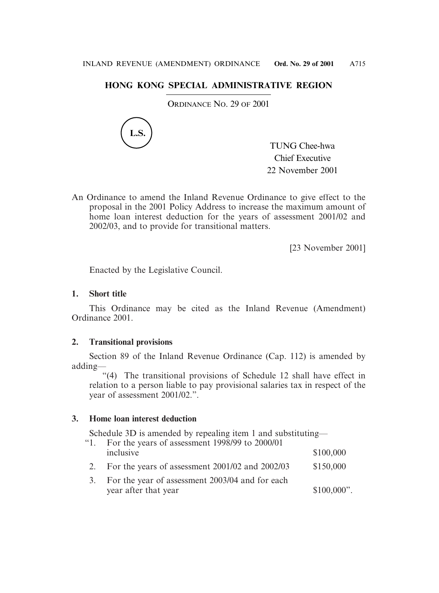# **HONG KONG SPECIAL ADMINISTRATIVE REGION**

ORDINANCE NO. 29 OF 2001



TUNG Chee-hwa Chief Executive 22 November 2001

An Ordinance to amend the Inland Revenue Ordinance to give effect to the proposal in the 2001 Policy Address to increase the maximum amount of home loan interest deduction for the years of assessment 2001/02 and 2002/03, and to provide for transitional matters.

[23 November 2001]

Enacted by the Legislative Council.

## **1. Short title**

This Ordinance may be cited as the Inland Revenue (Amendment) Ordinance 2001.

## **2. Transitional provisions**

Section 89 of the Inland Revenue Ordinance (Cap. 112) is amended by adding—

"(4) The transitional provisions of Schedule 12 shall have effect in relation to a person liable to pay provisional salaries tax in respect of the year of assessment 2001/02.".

## **3. Home loan interest deduction**

Schedule 3D is amended by repealing item 1 and substituting—

| $\lq 1$ . | For the years of assessment 1998/99 to 2000/01                          |               |
|-----------|-------------------------------------------------------------------------|---------------|
|           | inclusive                                                               | \$100,000     |
| 2.        | For the years of assessment 2001/02 and 2002/03                         | \$150,000     |
| 3.        | For the year of assessment 2003/04 and for each<br>year after that year | $$100,000$ ". |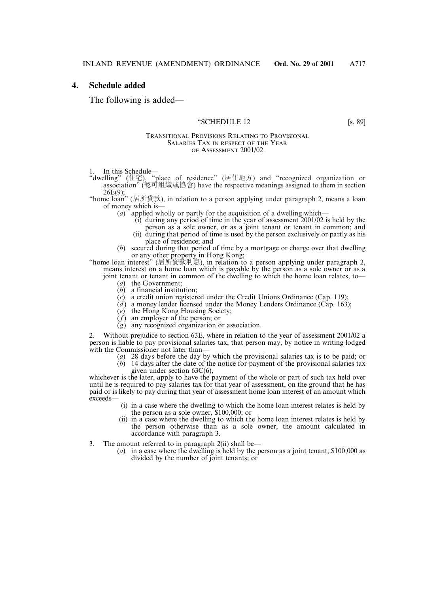## **4. Schedule added**

The following is added—

#### "SCHEDULE 12 [s. 89]

#### TRANSITIONAL PROVISIONS RELATING TO PROVISIONAL SALARIES TAX IN RESPECT OF THE YEAR OF ASSESSMENT 2001/02

1. In this Schedule—

"dwelling" (住宅), "place of residence" (居住地方) and "recognized organization or association" (認可組織或協會) have the respective meanings assigned to them in section 26E(9);

"home loan" (居所貸款), in relation to a person applying under paragraph 2, means a loan of money which is—

- (*a*) applied wholly or partly for the acquisition of a dwelling which—
	- $(i)$  during any period of time in the year of assessment 2001/02 is held by the person as a sole owner, or as a joint tenant or tenant in common; and
	- i(ii) during that period of time is used by the person exclusively or partly as his place of residence; and
- (*b*) secured during that period of time by a mortgage or charge over that dwelling or any other property in Hong Kong;

"home loan interest" (居所貸款利息), in relation to a person applying under paragraph 2, means interest on a home loan which is payable by the person as a sole owner or as a

- joint tenant or tenant in common of the dwelling to which the home loan relates, to— (*a*) the Government;
	- (*b*) a financial institution;
	- (*c*) a credit union registered under the Credit Unions Ordinance (Cap. 119);
	- $(d)$  a money lender licensed under the Money Lenders Ordinance (Cap. 163);
	- (*e*) the Hong Kong Housing Society;
	- (*f*) an employer of the person; or
	- (*g*) any recognized organization or association.

2. Without prejudice to section 63E, where in relation to the year of assessment 2001/02 a person is liable to pay provisional salaries tax, that person may, by notice in writing lodged with the Commissioner not later than—

- (*a*) 28 days before the day by which the provisional salaries tax is to be paid; or
- (*b*) 14 days after the date of the notice for payment of the provisional salaries tax given under section 63C(6),

whichever is the later, apply to have the payment of the whole or part of such tax held over until he is required to pay salaries tax for that year of assessment, on the ground that he has paid or is likely to pay during that year of assessment home loan interest of an amount which exceeds—

- $(i)$  in a case where the dwelling to which the home loan interest relates is held by the person as a sole owner, \$100,000; or
- (ii) in a case where the dwelling to which the home loan interest relates is held by the person otherwise than as a sole owner, the amount calculated in accordance with paragraph 3.
- 3. The amount referred to in paragraph  $2(ii)$  shall be—
	- (*a*) in a case where the dwelling is held by the person as a joint tenant, \$100,000 as divided by the number of joint tenants; or